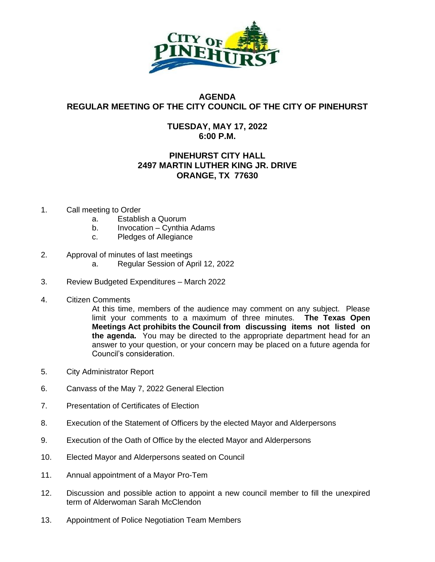

## **AGENDA REGULAR MEETING OF THE CITY COUNCIL OF THE CITY OF PINEHURST**

## **TUESDAY, MAY 17, 2022 6:00 P.M.**

## **PINEHURST CITY HALL 2497 MARTIN LUTHER KING JR. DRIVE ORANGE, TX 77630**

- 1. Call meeting to Order
	- a. Establish a Quorum
	- b. Invocation Cynthia Adams
	- c. Pledges of Allegiance
- 2. Approval of minutes of last meetings
	- a. Regular Session of April 12, 2022
- 3. Review Budgeted Expenditures March 2022
- 4. Citizen Comments

At this time, members of the audience may comment on any subject. Please limit your comments to a maximum of three minutes. **The Texas Open Meetings Act prohibits the Council from discussing items not listed on the agenda.** You may be directed to the appropriate department head for an answer to your question, or your concern may be placed on a future agenda for Council's consideration.

- 5. City Administrator Report
- 6. Canvass of the May 7, 2022 General Election
- 7. Presentation of Certificates of Election
- 8. Execution of the Statement of Officers by the elected Mayor and Alderpersons
- 9. Execution of the Oath of Office by the elected Mayor and Alderpersons
- 10. Elected Mayor and Alderpersons seated on Council
- 11. Annual appointment of a Mayor Pro-Tem
- 12. Discussion and possible action to appoint a new council member to fill the unexpired term of Alderwoman Sarah McClendon
- 13. Appointment of Police Negotiation Team Members